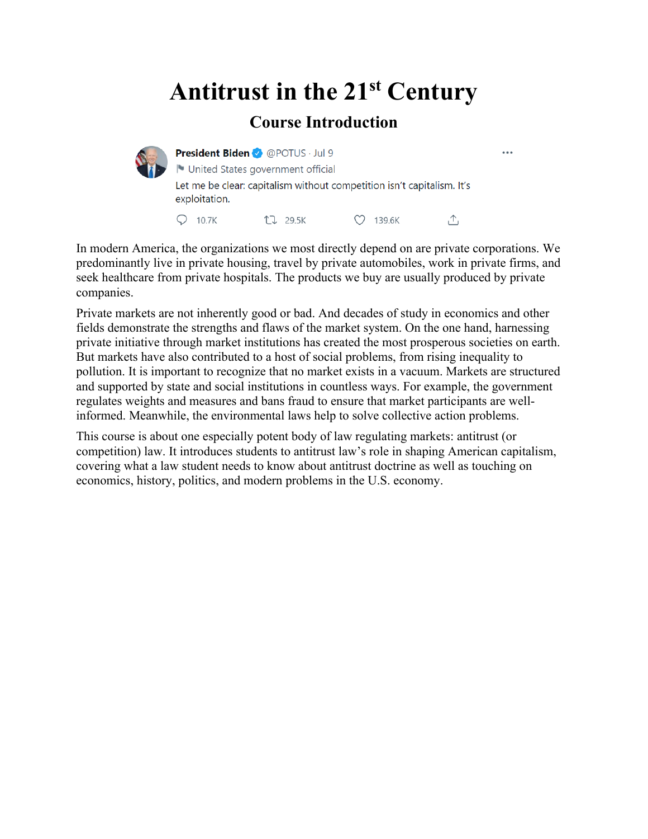## **Antitrust in the 21st Century**

#### **Course Introduction**



President Biden <br> *Q* @POTUS · Jul 9 I United States government official Let me be clear: capitalism without competition isn't capitalism. It's exploitation.  $Q$  10.7K LJ 29.5K C 139.6K 凸

 $\ddot{\phantom{a}}$ 

In modern America, the organizations we most directly depend on are private corporations. We predominantly live in private housing, travel by private automobiles, work in private firms, and seek healthcare from private hospitals. The products we buy are usually produced by private companies.

Private markets are not inherently good or bad. And decades of study in economics and other fields demonstrate the strengths and flaws of the market system. On the one hand, harnessing private initiative through market institutions has created the most prosperous societies on earth. But markets have also contributed to a host of social problems, from rising inequality to pollution. It is important to recognize that no market exists in a vacuum. Markets are structured and supported by state and social institutions in countless ways. For example, the government regulates weights and measures and bans fraud to ensure that market participants are wellinformed. Meanwhile, the environmental laws help to solve collective action problems.

This course is about one especially potent body of law regulating markets: antitrust (or competition) law. It introduces students to antitrust law's role in shaping American capitalism, covering what a law student needs to know about antitrust doctrine as well as touching on economics, history, politics, and modern problems in the U.S. economy.